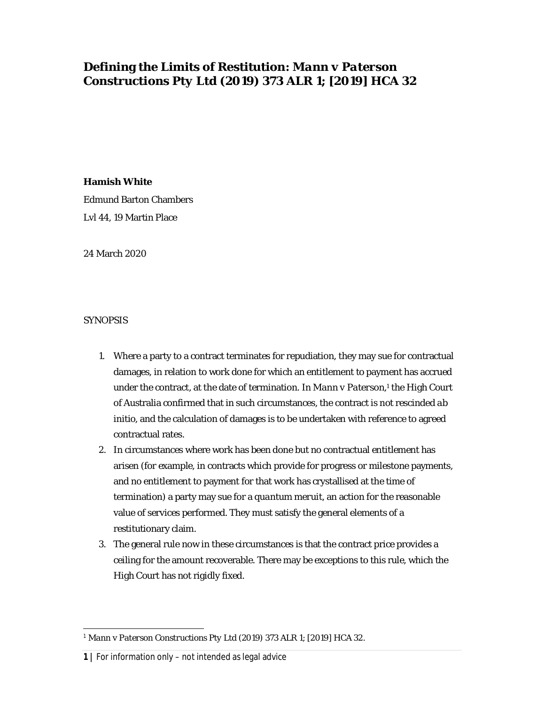# **Defining the Limits of Restitution:** *Mann v Paterson Constructions Pty Ltd* **(2019) 373 ALR 1; [2019] HCA 32**

# **Hamish White**

Edmund Barton Chambers Lvl 44, 19 Martin Place

24 March 2020

# SYNOPSIS

- 1. Where a party to a contract terminates for repudiation, they may sue for contractual damages, in relation to work done for which an entitlement to payment has accrued under the contract, at the date of termination. In *Mann v Paterson,* 1 the High Court of Australia confirmed that in such circumstances, the contract is not rescinded *ab initio*, and the calculation of damages is to be undertaken with reference to agreed contractual rates.
- 2. In circumstances where work has been done but no contractual entitlement has arisen (for example, in contracts which provide for progress or milestone payments, and no entitlement to payment for that work has crystallised at the time of termination) a party may sue for a *quantum meruit*, an action for the reasonable value of services performed. They must satisfy the general elements of a restitutionary claim.
- 3. The general rule now in these circumstances is that the contract price provides a ceiling for the amount recoverable. There may be exceptions to this rule, which the High Court has not rigidly fixed.

<sup>1</sup> *Mann v Paterson Constructions Pty Ltd* (2019) 373 ALR 1; [2019] HCA 32.

**<sup>1</sup> |** For information only – not intended as legal advice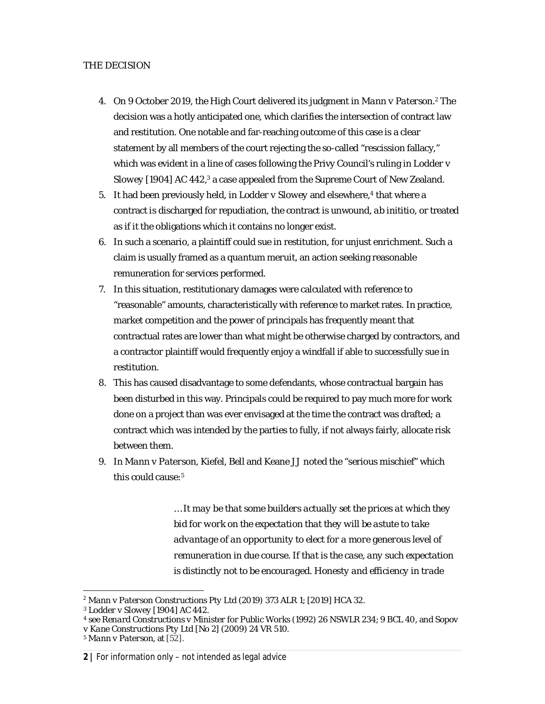# THE DECISION

- 4. On 9 October 2019, the High Court delivered its judgment in *Mann v Paterson. <sup>2</sup>* The decision was a hotly anticipated one, which clarifies the intersection of contract law and restitution. One notable and far-reaching outcome of this case is a clear statement by all members of the court rejecting the so-called "rescission fallacy," which was evident in a line of cases following the Privy Council's ruling in *Lodder v*  Slowey [1904] AC 442,<sup>3</sup> a case appealed from the Supreme Court of New Zealand.
- 5. It had been previously held, in *Lodder v Slowey* and elsewhere, 4 that where a contract is discharged for repudiation, the contract is unwound, *ab inititio*, or treated as if it the obligations which it contains no longer exist.
- 6. In such a scenario, a plaintiff could sue in restitution, for unjust enrichment. Such a claim is usually framed as a *quantum meruit*, an action seeking reasonable remuneration for services performed.
- 7. In this situation, restitutionary damages were calculated with reference to "reasonable" amounts, characteristically with reference to market rates. In practice, market competition and the power of principals has frequently meant that contractual rates are lower than what might be otherwise charged by contractors, and a contractor plaintiff would frequently enjoy a windfall if able to successfully sue in restitution.
- 8. This has caused disadvantage to some defendants, whose contractual bargain has been disturbed in this way. Principals could be required to pay much more for work done on a project than was ever envisaged at the time the contract was drafted; a contract which was intended by the parties to fully, if not always fairly, allocate risk between them.
- 9. In *Mann v Paterson*, Kiefel, Bell and Keane JJ noted the "serious mischief" which this could cause: 5

*… It may be that some builders actually set the prices at which they bid for work on the expectation that they will be astute to take advantage of an opportunity to elect for a more generous level of remuneration in due course. If that is the case, any such expectation is distinctly not to be encouraged. Honesty and efficiency in trade* 

<sup>4</sup> see *Renard Constructions v Minister for Public Works* (1992) 26 NSWLR 234; 9 BCL 40, and *Sopov v Kane Constructions Pty Ltd [No 2]* (2009) 24 VR 510.

<sup>2</sup> *Mann v Paterson Constructions Pty Ltd* (2019) 373 ALR 1; [2019] HCA 32.

<sup>3</sup> *Lodder v Slowey* [1904] AC 442.

<sup>5</sup> *Mann v Paterson,* at [52].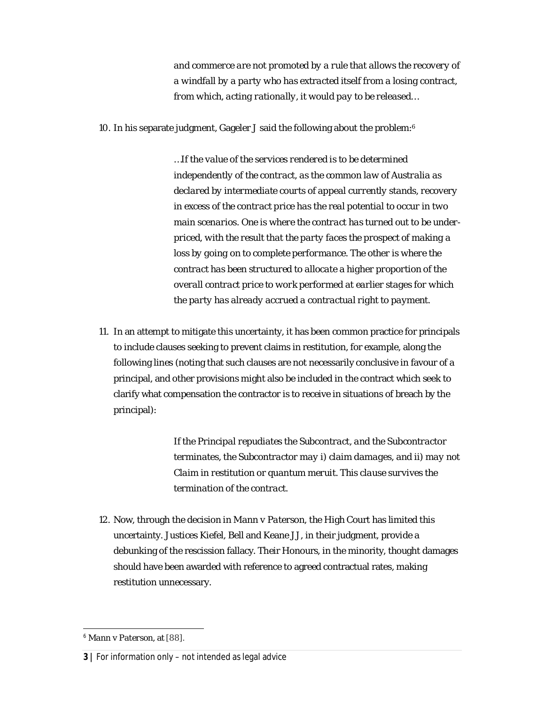*and commerce are not promoted by a rule that allows the recovery of a windfall by a party who has extracted itself from a losing contract, from which, acting rationally, it would pay to be released…*

10. In his separate judgment, Gageler J said the following about the problem:<sup>6</sup>

*…If the value of the services rendered is to be determined independently of the contract, as the common law of Australia as declared by intermediate courts of appeal currently stands, recovery in excess of the contract price has the real potential to occur in two main scenarios. One is where the contract has turned out to be underpriced, with the result that the party faces the prospect of making a loss by going on to complete performance. The other is where the contract has been structured to allocate a higher proportion of the overall contract price to work performed at earlier stages for which the party has already accrued a contractual right to payment.*

11. In an attempt to mitigate this uncertainty, it has been common practice for principals to include clauses seeking to prevent claims in restitution, for example, along the following lines (noting that such clauses are not necessarily conclusive in favour of a principal, and other provisions might also be included in the contract which seek to clarify what compensation the contractor is to receive in situations of breach by the principal):

> *If the Principal repudiates the Subcontract, and the Subcontractor terminates, the Subcontractor may i) claim damages, and ii) may not Claim in restitution or quantum meruit. This clause survives the termination of the contract.*

12. Now, through the decision in *Mann v Paterson,* the High Court has limited this uncertainty. Justices Kiefel, Bell and Keane JJ, in their judgment, provide a debunking of the rescission fallacy. Their Honours, in the minority, thought damages should have been awarded with reference to agreed contractual rates, making restitution unnecessary.

<sup>6</sup> *Mann v Paterson,* at [88].

**<sup>3</sup> |** For information only – not intended as legal advice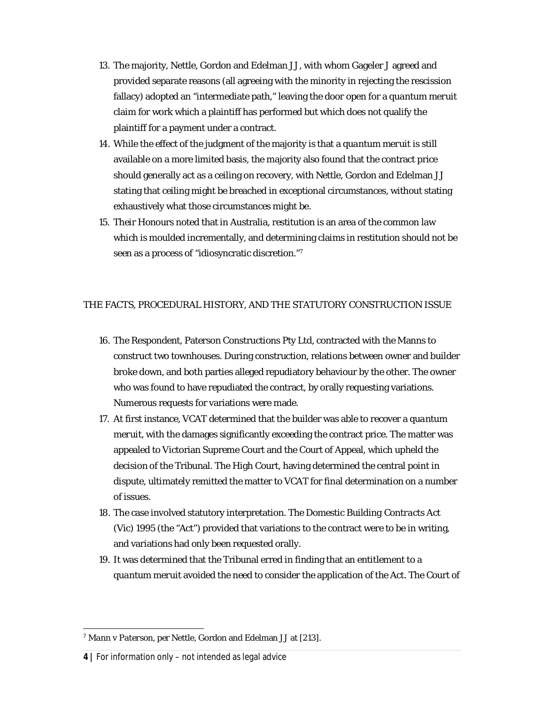- 13. The majority, Nettle, Gordon and Edelman JJ, with whom Gageler J agreed and provided separate reasons (all agreeing with the minority in rejecting the rescission fallacy) adopted an "intermediate path," leaving the door open for a *quantum meruit* claim for work which a plaintiff has performed but which does not qualify the plaintiff for a payment under a contract.
- 14. While the effect of the judgment of the majority is that a *quantum meruit* is still available on a more limited basis, the majority also found that the contract price should generally act as a ceiling on recovery, with Nettle, Gordon and Edelman JJ stating that ceiling might be breached in exceptional circumstances, without stating exhaustively what those circumstances might be.
- 15. Their Honours noted that in Australia, restitution is an area of the common law which is moulded incrementally, and determining claims in restitution should not be seen as a process of "idiosyncratic discretion." 7

# THE FACTS, PROCEDURAL HISTORY, AND THE STATUTORY CONSTRUCTION ISSUE

- 16. The Respondent, Paterson Constructions Pty Ltd, contracted with the Manns to construct two townhouses. During construction, relations between owner and builder broke down, and both parties alleged repudiatory behaviour by the other. The owner who was found to have repudiated the contract, by orally requesting variations. Numerous requests for variations were made.
- 17. At first instance, VCAT determined that the builder was able to recover a *quantum meruit,* with the damages significantly exceeding the contract price. The matter was appealed to Victorian Supreme Court and the Court of Appeal, which upheld the decision of the Tribunal. The High Court, having determined the central point in dispute, ultimately remitted the matter to VCAT for final determination on a number of issues.
- 18. The case involved statutory interpretation. The *Domestic Building Contracts Act*  (Vic) 1995 (the "Act") provided that variations to the contract were to be in writing, and variations had only been requested orally.
- 19. It was determined that the Tribunal erred in finding that an entitlement to a *quantum meruit* avoided the need to consider the application of the Act. The Court of

<sup>7</sup> *Mann v Paterson*, per Nettle, Gordon and Edelman JJ at [213].

**<sup>4</sup> |** For information only – not intended as legal advice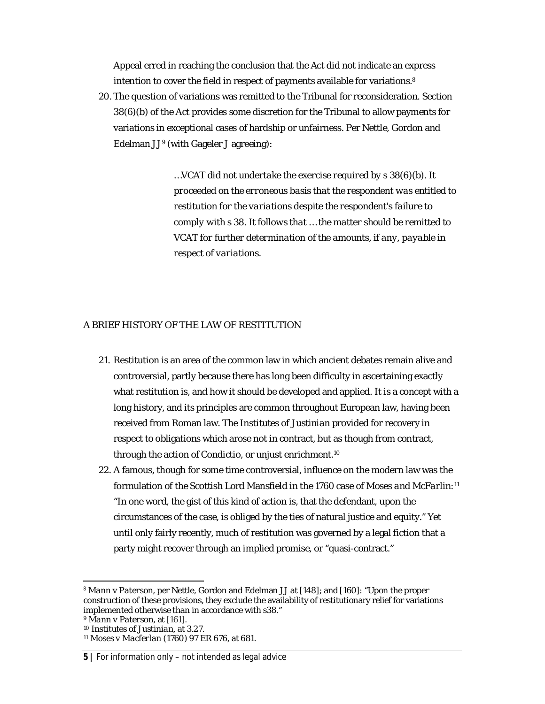Appeal erred in reaching the conclusion that the Act did not indicate an express intention to cover the field in respect of payments available for variations. 8

20. The question of variations was remitted to the Tribunal for reconsideration. Section 38(6)(b) of the Act provides some discretion for the Tribunal to allow payments for variations in exceptional cases of hardship or unfairness. Per Nettle, Gordon and Edelman JJ<sup>9</sup> (with Gageler J agreeing):

> *…VCAT did not undertake the exercise required by s 38(6)(b). It proceeded on the erroneous basis that the respondent was entitled to restitution for the variations despite the respondent's failure to comply with s 38. It follows that … the matter should be remitted to VCAT for further determination of the amounts, if any, payable in respect of variations.*

# A BRIEF HISTORY OF THE LAW OF RESTITUTION

- 21. Restitution is an area of the common law in which ancient debates remain alive and controversial, partly because there has long been difficulty in ascertaining exactly what restitution is, and how it should be developed and applied. It is a concept with a long history, and its principles are common throughout European law, having been received from Roman law. The *Institutes of Justinian* provided for recovery in respect to obligations which arose not in contract, but as though from contract, through the action of *Condictio*, or unjust enrichment. 10
- *22.* A famous, though for some time controversial, influence on the modern law was the formulation of the Scottish Lord Mansfield in the 1760 case of *Moses and McFarlin: 11* "In one word, the gist of this kind of action is, that the defendant, upon the circumstances of the case, is obliged by the ties of natural justice and equity." Yet until only fairly recently, much of restitution was governed by a legal fiction that a party might recover through an implied promise, or "quasi-contract."

# **5 |** For information only – not intended as legal advice

<sup>8</sup> *Mann v Paterson,* per Nettle, Gordon and Edelman JJ at [148]; and [160]: "Upon the proper construction of these provisions, they exclude the availability of restitutionary relief for variations implemented otherwise than in accordance with s38."

<sup>9</sup> *Mann v Paterson,* at [161].

<sup>10</sup> *Institutes of Justinian*, at 3.27.

<sup>11</sup> *Moses v Macferlan* (1760) 97 ER 676, at 681.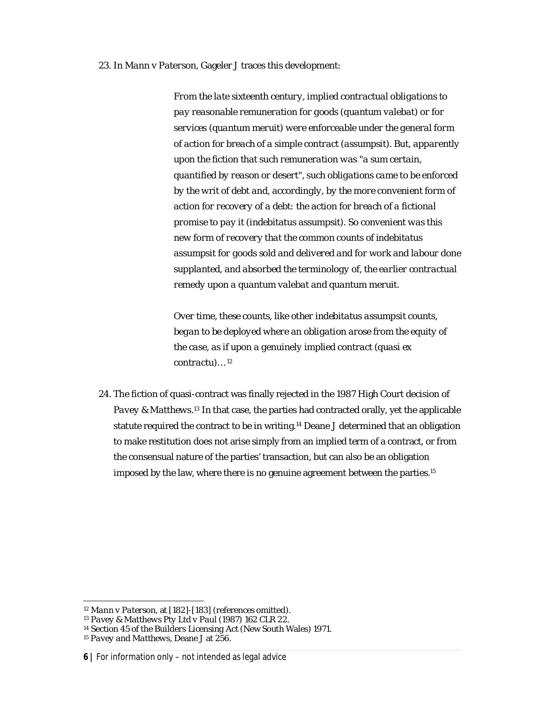#### *23.* In *Mann v Paterson*, Gageler J traces this development:

*From the late sixteenth century, implied contractual obligations to pay reasonable remuneration for goods (quantum valebat) or for services (quantum meruit) were enforceable under the general form of action for breach of a simple contract (assumpsit). But, apparently upon the fiction that such remuneration was "a sum certain, quantified by reason or desert", such obligations came to be enforced by the writ of debt and, accordingly, by the more convenient form of action for recovery of a debt: the action for breach of a fictional promise to pay it (indebitatus assumpsit). So convenient was this new form of recovery that the common counts of indebitatus assumpsit for goods sold and delivered and for work and labour done supplanted, and absorbed the terminology of, the earlier contractual remedy upon a quantum valebat and quantum meruit.*

*Over time, these counts, like other indebitatus assumpsit counts, began to be deployed where an obligation arose from the equity of the case, as if upon a genuinely implied contract (quasi ex contractu)…* <sup>12</sup>

24. The fiction of quasi-contract was finally rejected in the 1987 High Court decision of *Pavey & Matthews. <sup>13</sup>* In that case, the parties had contracted orally, yet the applicable statute required the contract to be in writing. <sup>14</sup> Deane J determined that an obligation to make restitution does not arise simply from an implied term of a contract, or from the consensual nature of the parties' transaction, but can also be an obligation imposed by the law, where there is no genuine agreement between the parties. 15

<sup>12</sup> *Mann v Paterson,* at [182]-[183] (references omitted).

<sup>13</sup> *Pavey & Matthews Pty Ltd v Paul* (1987) 162 CLR 22.

<sup>14</sup> Section 45 of the *Builders Licensing Act* (New South Wales) 1971.

<sup>15</sup> *Pavey and Matthews*, Deane J at 256.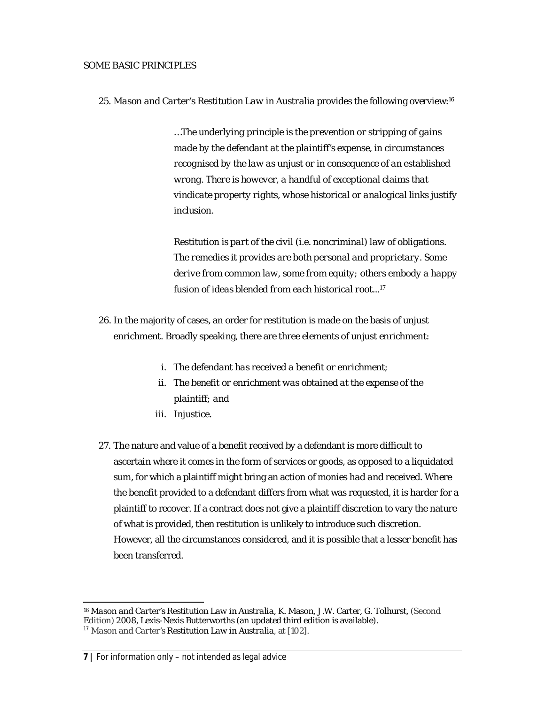#### SOME BASIC PRINCIPLES

25. *Mason and Carter's Restitution Law in Australia* provides the following overview: 16

*…The underlying principle is the prevention or stripping of gains made by the defendant at the plaintiff's expense, in circumstances recognised by the law as unjust or in consequence of an established wrong. There is however, a handful of exceptional claims that vindicate property rights, whose historical or analogical links justify inclusion.* 

*Restitution is part of the civil (i.e. noncriminal) law of obligations. The remedies it provides are both personal and proprietary. Some derive from common law, some from equity; others embody a happy fusion of ideas blended from each historical root... 17*

- 26. In the majority of cases, an order for restitution is made on the basis of unjust enrichment. Broadly speaking, there are three elements of unjust enrichment:
	- *i. The defendant has received a benefit or enrichment;*
	- *ii. The benefit or enrichment was obtained at the expense of the plaintiff; and*
	- *iii. Injustice.*
- 27. The nature and value of a benefit received by a defendant is more difficult to ascertain where it comes in the form of services or goods, as opposed to a liquidated sum, for which a plaintiff might bring an action of *monies had and received*. Where the benefit provided to a defendant differs from what was requested, it is harder for a plaintiff to recover. If a contract does not give a plaintiff discretion to vary the nature of what is provided, then restitution is unlikely to introduce such discretion. However, all the circumstances considered, and it is possible that a lesser benefit has been transferred.

<sup>16</sup> *Mason and Carter's Restitution Law in Australia,* K. Mason, J.W. Carter, G. Tolhurst, (Second Edition) 2008, Lexis-Nexis Butterworths (an updated third edition is available).

<sup>17</sup> *Mason and Carter's Restitution Law in Australia,* at [102].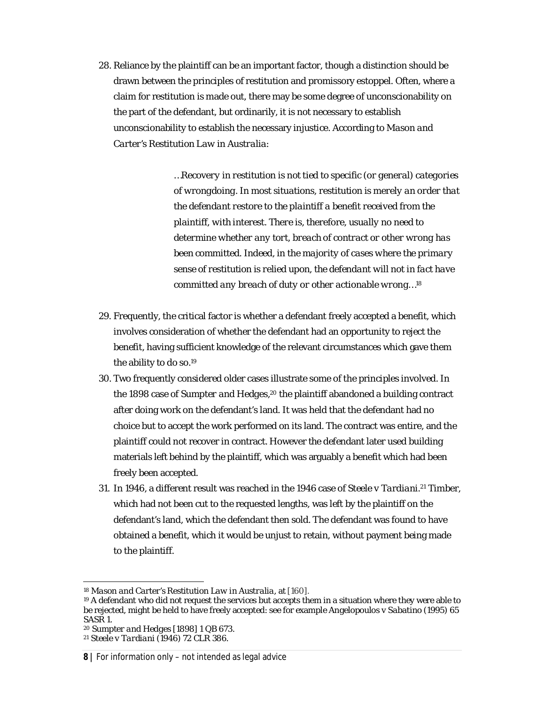28. Reliance by the plaintiff can be an important factor, though a distinction should be drawn between the principles of restitution and promissory estoppel. Often, where a claim for restitution is made out, there may be some degree of unconscionability on the part of the defendant, but ordinarily, it is not necessary to establish unconscionability to establish the necessary injustice. According to *Mason and Carter's Restitution Law in Australia*:

> *…Recovery in restitution is not tied to specific (or general) categories of wrongdoing. In most situations, restitution is merely an order that the defendant restore to the plaintiff a benefit received from the plaintiff, with interest. There is, therefore, usually no need to determine whether any tort, breach of contract or other wrong has been committed. Indeed, in the majority of cases where the primary sense of restitution is relied upon, the defendant will not in fact have committed any breach of duty or other actionable wrong…<sup>18</sup>*

- 29. Frequently, the critical factor is whether a defendant freely accepted a benefit, which involves consideration of whether the defendant had an opportunity to reject the benefit, having sufficient knowledge of the relevant circumstances which gave them the ability to do so.<sup>19</sup>
- 30. Two frequently considered older cases illustrate some of the principles involved. In the 1898 case of *Sumpter and Hedges, <sup>20</sup>* the plaintiff abandoned a building contract after doing work on the defendant's land. It was held that the defendant had no choice but to accept the work performed on its land. The contract was entire, and the plaintiff could not recover in contract. However the defendant later used building materials left behind by the plaintiff, which was arguably a benefit which had been freely been accepted.
- 31. In 1946, a different result was reached in the 1946 case of *Steele v Tardiani*. <sup>21</sup> Timber, which had not been cut to the requested lengths, was left by the plaintiff on the defendant's land, which the defendant then sold. The defendant was found to have obtained a benefit, which it would be unjust to retain, without payment being made to the plaintiff.

#### **8 |** For information only – not intended as legal advice

<sup>18</sup> *Mason and Carter's Restitution Law in Australia*, at [160].

<sup>&</sup>lt;sup>19</sup> A defendant who did not request the services but accepts them in a situation where they were able to be rejected, might be held to have freely accepted: see for example *Angelopoulos v Sabatino* (1995) 65 SASR 1.

<sup>20</sup> *Sumpter and Hedges* [1898] 1 QB 673.

<sup>21</sup> *Steele v Tardiani* (1946) 72 CLR 386.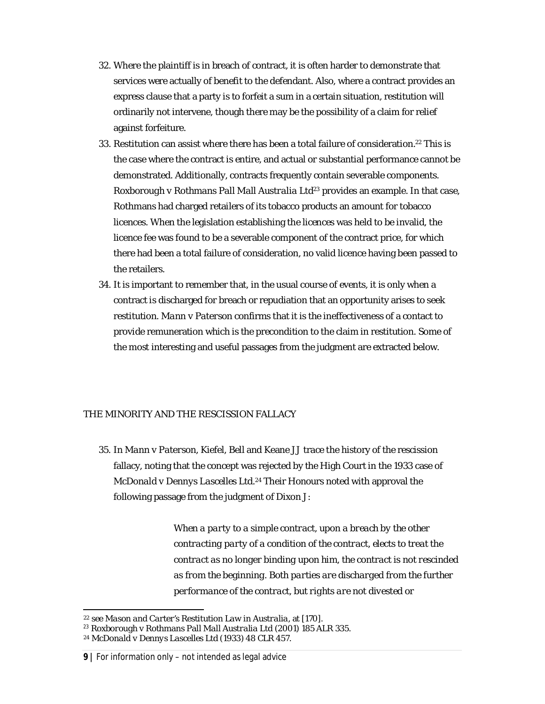- 32. Where the plaintiff is in breach of contract, it is often harder to demonstrate that services were actually of benefit to the defendant. Also, where a contract provides an express clause that a party is to forfeit a sum in a certain situation, restitution will ordinarily not intervene, though there may be the possibility of a claim for relief against forfeiture.
- 33. Restitution can assist where there has been a total failure of consideration. <sup>22</sup> This is the case where the contract is entire, and actual or substantial performance cannot be demonstrated. Additionally, contracts frequently contain severable components. *Roxborough v Rothmans Pall Mall Australia Ltd<sup>23</sup>* provides an example. In that case, Rothmans had charged retailers of its tobacco products an amount for tobacco licences. When the legislation establishing the licences was held to be invalid, the licence fee was found to be a severable component of the contract price, for which there had been a total failure of consideration, no valid licence having been passed to the retailers.
- 34. It is important to remember that, in the usual course of events, it is only when a contract is discharged for breach or repudiation that an opportunity arises to seek restitution. *Mann v Paterson* confirms that it is the ineffectiveness of a contact to provide remuneration which is the precondition to the claim in restitution. Some of the most interesting and useful passages from the judgment are extracted below.

# THE MINORITY AND THE RESCISSION FALLACY

35. In *Mann v Paterson,* Kiefel, Bell and Keane JJ trace the history of the rescission fallacy, noting that the concept was rejected by the High Court in the 1933 case of *McDonald v Dennys Lascelles Ltd. <sup>24</sup>* Their Honours noted with approval the following passage from the judgment of Dixon J:

> *When a party to a simple contract, upon a breach by the other contracting party of a condition of the contract, elects to treat the contract as no longer binding upon him, the contract is not rescinded as from the beginning. Both parties are discharged from the further performance of the contract, but rights are not divested or*

<sup>22</sup> see *Mason and Carter's Restitution Law in Australia,* at [170].

<sup>23</sup> *Roxborough v Rothmans Pall Mall Australia Ltd* (2001) 185 ALR 335.

<sup>24</sup> *McDonald v Dennys Lascelles Ltd* (1933) 48 CLR 457.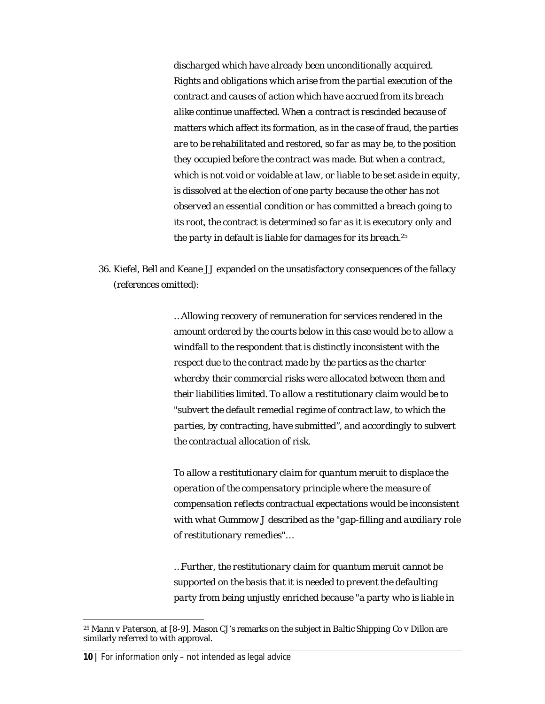*discharged which have already been unconditionally acquired. Rights and obligations which arise from the partial execution of the contract and causes of action which have accrued from its breach alike continue unaffected. When a contract is rescinded because of matters which affect its formation, as in the case of fraud, the parties are to be rehabilitated and restored, so far as may be, to the position they occupied before the contract was made. But when a contract, which is not void or voidable at law, or liable to be set aside in equity, is dissolved at the election of one party because the other has not observed an essential condition or has committed a breach going to its root, the contract is determined so far as it is executory only and the party in default is liable for damages for its breach.*<sup>25</sup>

36. Kiefel, Bell and Keane JJ expanded on the unsatisfactory consequences of the fallacy (references omitted):

> *…Allowing recovery of remuneration for services rendered in the amount ordered by the courts below in this case would be to allow a windfall to the respondent that is distinctly inconsistent with the respect due to the contract made by the parties as the charter whereby their commercial risks were allocated between them and their liabilities limited. To allow a restitutionary claim would be to "subvert the default remedial regime of contract law, to which the parties, by contracting, have submitted", and accordingly to subvert the contractual allocation of risk.*

*To allow a restitutionary claim for quantum meruit to displace the operation of the compensatory principle where the measure of compensation reflects contractual expectations would be inconsistent with what Gummow J described as the "gap-filling and auxiliary role of restitutionary remedies"…*

*…Further, the restitutionary claim for quantum meruit cannot be supported on the basis that it is needed to prevent the defaulting party from being unjustly enriched because "a party who is liable in* 

<sup>25</sup> *Mann v Paterson*, at [8-9]. Mason CJ's remarks on the subject in *Baltic Shipping Co v Dillon* are similarly referred to with approval.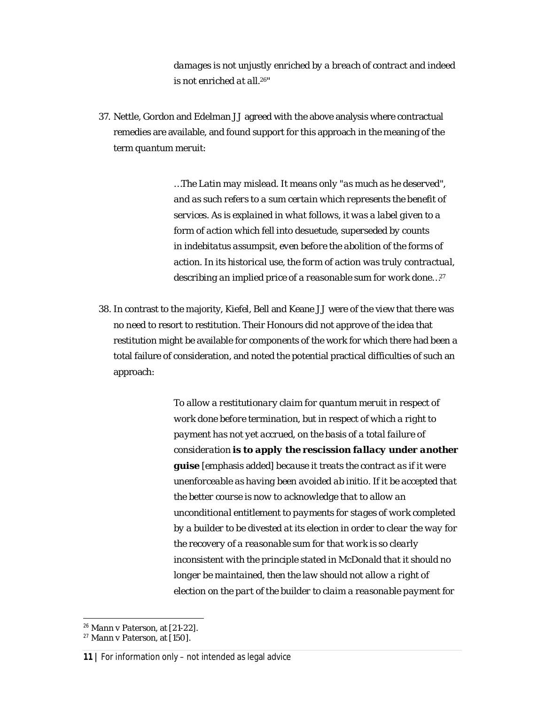*damages is not unjustly enriched by a breach of contract and indeed is not enriched at all. <sup>26</sup>"*

37. Nettle, Gordon and Edelman JJ agreed with the above analysis where contractual remedies are available, and found support for this approach in the meaning of the term *quantum meruit*:

> *…The Latin may mislead. It means only "as much as he deserved", and as such refers to a sum certain which represents the benefit of services. As is explained in what follows, it was a label given to a form of action which fell into desuetude, superseded by counts in indebitatus assumpsit, even before the abolition of the forms of action. In its historical use, the form of action was truly contractual, describing an implied price of a reasonable sum for work done…<sup>27</sup>*

38. In contrast to the majority, Kiefel, Bell and Keane JJ were of the view that there was no need to resort to restitution. Their Honours did not approve of the idea that restitution might be available for components of the work for which there had been a total failure of consideration, and noted the potential practical difficulties of such an approach:

> *To allow a restitutionary claim for quantum meruit in respect of work done before termination, but in respect of which a right to payment has not yet accrued, on the basis of a total failure of consideration is to apply the rescission fallacy under another guise* [emphasis added] *because it treats the contract as if it were unenforceable as having been avoided ab initio. If it be accepted that the better course is now to acknowledge that to allow an unconditional entitlement to payments for stages of work completed by a builder to be divested at its election in order to clear the way for the recovery of a reasonable sum for that work is so clearly inconsistent with the principle stated in McDonald that it should no longer be maintained, then the law should not allow a right of election on the part of the builder to claim a reasonable payment for*

<sup>26</sup> *Mann v Paterson*, at [21-22].

<sup>27</sup> *Mann v Paterson*, at [150].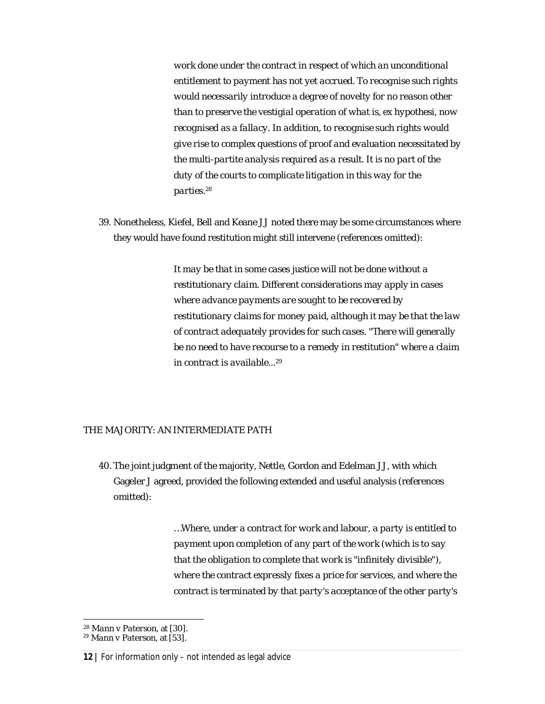*work done under the contract in respect of which an unconditional entitlement to payment has not yet accrued. To recognise such rights would necessarily introduce a degree of novelty for no reason other than to preserve the vestigial operation of what is, ex hypothesi, now recognised as a fallacy. In addition, to recognise such rights would give rise to complex questions of proof and evaluation necessitated by the multi-partite analysis required as a result. It is no part of the duty of the courts to complicate litigation in this way for the parties. 28*

39. Nonetheless, Kiefel, Bell and Keane JJ noted there may be some circumstances where they would have found restitution might still intervene (references omitted):

> *It may be that in some cases justice will not be done without a restitutionary claim. Different considerations may apply in cases where advance payments are sought to be recovered by restitutionary claims for money paid, although it may be that the law of contract adequately provides for such cases. "There will generally be no need to have recourse to a remedy in restitution" where a claim in contract is available... 29*

# THE MAJORITY: AN INTERMEDIATE PATH

40. The joint judgment of the majority, Nettle, Gordon and Edelman JJ, with which Gageler J agreed, provided the following extended and useful analysis (references omitted):

> *…Where, under a contract for work and labour, a party is entitled to payment upon completion of any part of the work (which is to say that the obligation to complete that work is "infinitely divisible"), where the contract expressly fixes a price for services, and where the contract is terminated by that party's acceptance of the other party's*

<sup>28</sup> *Mann v Paterson*, at [30].

<sup>29</sup> *Mann v Paterson*, at [53].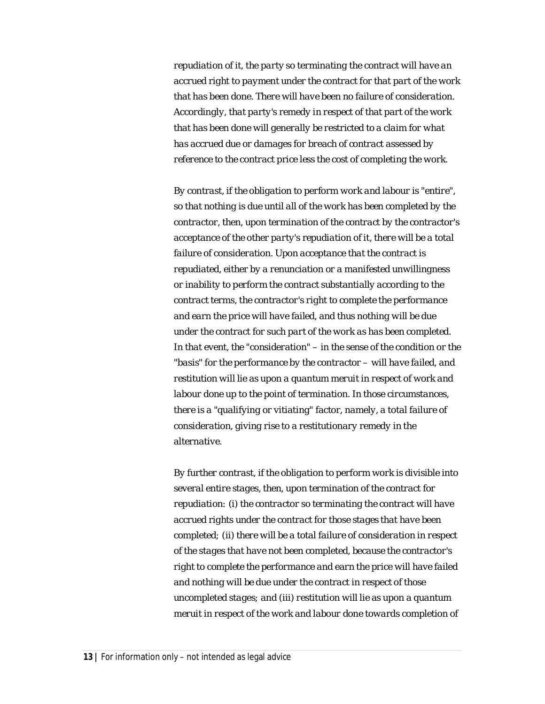*repudiation of it, the party so terminating the contract will have an accrued right to payment under the contract for that part of the work that has been done. There will have been no failure of consideration. Accordingly, that party's remedy in respect of that part of the work that has been done will generally be restricted to a claim for what has accrued due or damages for breach of contract assessed by reference to the contract price less the cost of completing the work.*

*By contrast, if the obligation to perform work and labour is "entire", so that nothing is due until all of the work has been completed by the contractor, then, upon termination of the contract by the contractor's acceptance of the other party's repudiation of it, there will be a total failure of consideration. Upon acceptance that the contract is repudiated, either by a renunciation or a manifested unwillingness or inability to perform the contract substantially according to the contract terms, the contractor's right to complete the performance and earn the price will have failed, and thus nothing will be due under the contract for such part of the work as has been completed. In that event, the "consideration" – in the sense of the condition or the "basis" for the performance by the contractor – will have failed, and restitution will lie as upon a quantum meruit in respect of work and labour done up to the point of termination. In those circumstances, there is a "qualifying or vitiating" factor, namely, a total failure of consideration, giving rise to a restitutionary remedy in the alternative.*

*By further contrast, if the obligation to perform work is divisible into several entire stages, then, upon termination of the contract for repudiation: (i) the contractor so terminating the contract will have accrued rights under the contract for those stages that have been completed; (ii) there will be a total failure of consideration in respect of the stages that have not been completed, because the contractor's right to complete the performance and earn the price will have failed and nothing will be due under the contract in respect of those uncompleted stages; and (iii) restitution will lie as upon a quantum meruit in respect of the work and labour done towards completion of*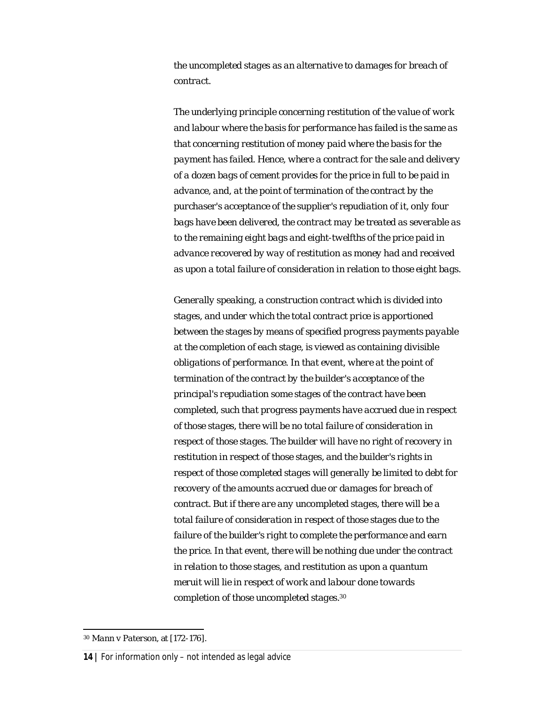*the uncompleted stages as an alternative to damages for breach of contract.*

*The underlying principle concerning restitution of the value of work and labour where the basis for performance has failed is the same as that concerning restitution of money paid where the basis for the payment has failed. Hence, where a contract for the sale and delivery of a dozen bags of cement provides for the price in full to be paid in advance, and, at the point of termination of the contract by the purchaser's acceptance of the supplier's repudiation of it, only four bags have been delivered, the contract may be treated as severable as to the remaining eight bags and eight-twelfths of the price paid in advance recovered by way of restitution as money had and received as upon a total failure of consideration in relation to those eight bags.*

*Generally speaking, a construction contract which is divided into stages, and under which the total contract price is apportioned between the stages by means of specified progress payments payable at the completion of each stage, is viewed as containing divisible obligations of performance. In that event, where at the point of termination of the contract by the builder's acceptance of the principal's repudiation some stages of the contract have been completed, such that progress payments have accrued due in respect of those stages, there will be no total failure of consideration in respect of those stages. The builder will have no right of recovery in restitution in respect of those stages, and the builder's rights in respect of those completed stages will generally be limited to debt for recovery of the amounts accrued due or damages for breach of contract. But if there are any uncompleted stages, there will be a total failure of consideration in respect of those stages due to the failure of the builder's right to complete the performance and earn the price. In that event, there will be nothing due under the contract in relation to those stages, and restitution as upon a quantum meruit will lie in respect of work and labour done towards completion of those uncompleted stages.*<sup>30</sup>

<sup>30</sup> *Mann v Paterson*, at [172-176].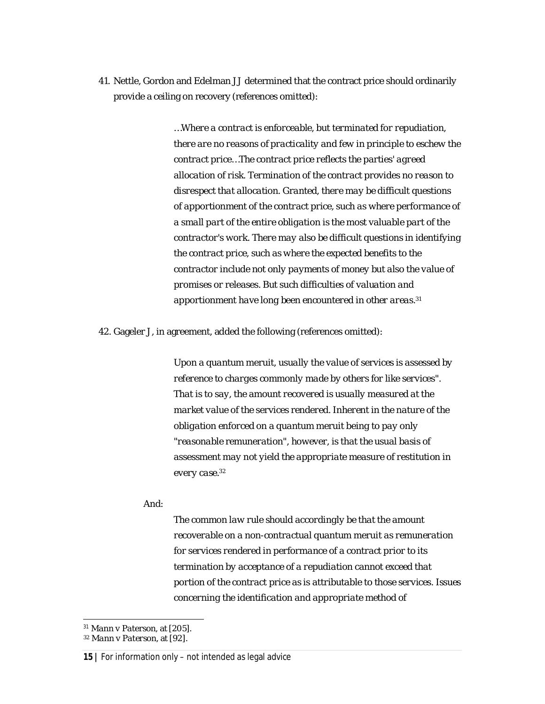41. Nettle, Gordon and Edelman JJ determined that the contract price should ordinarily provide a ceiling on recovery (references omitted):

> *…Where a contract is enforceable, but terminated for repudiation, there are no reasons of practicality and few in principle to eschew the contract price…The contract price reflects the parties' agreed allocation of risk. Termination of the contract provides no reason to disrespect that allocation. Granted, there may be difficult questions of apportionment of the contract price, such as where performance of a small part of the entire obligation is the most valuable part of the contractor's work. There may also be difficult questions in identifying the contract price, such as where the expected benefits to the contractor include not only payments of money but also the value of promises or releases. But such difficulties of valuation and apportionment have long been encountered in other areas. 31*

42. Gageler J, in agreement, added the following (references omitted):

*Upon a quantum meruit, usually the value of services is assessed by reference to charges commonly made by others for like services". That is to say, the amount recovered is usually measured at the market value of the services rendered. Inherent in the nature of the obligation enforced on a quantum meruit being to pay only "reasonable remuneration", however, is that the usual basis of assessment may not yield the appropriate measure of restitution in every case. 32*

And:

*The common law rule should accordingly be that the amount recoverable on a non-contractual quantum meruit as remuneration for services rendered in performance of a contract prior to its termination by acceptance of a repudiation cannot exceed that portion of the contract price as is attributable to those services. Issues concerning the identification and appropriate method of* 

<sup>31</sup> *Mann v Paterson*, at [205].

<sup>32</sup> *Mann v Paterson*, at [92].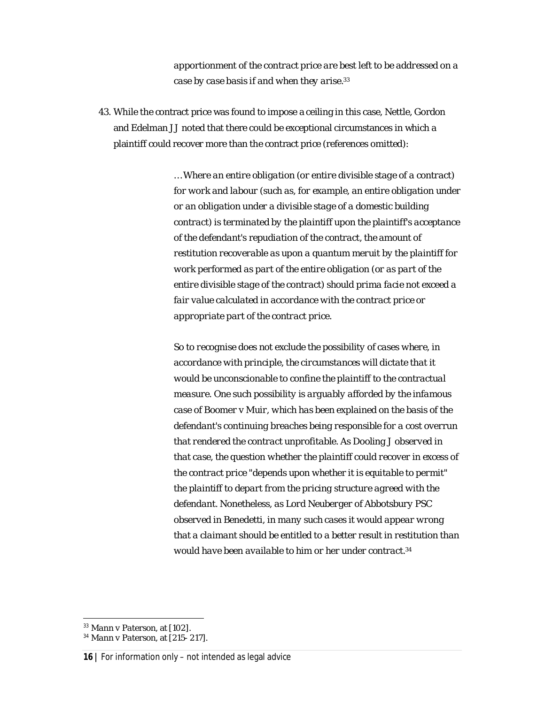*apportionment of the contract price are best left to be addressed on a case by case basis if and when they arise. 33*

43. While the contract price was found to impose a ceiling in this case, Nettle, Gordon and Edelman JJ noted that there could be exceptional circumstances in which a plaintiff could recover more than the contract price (references omitted):

> *… Where an entire obligation (or entire divisible stage of a contract) for work and labour (such as, for example, an entire obligation under or an obligation under a divisible stage of a domestic building contract) is terminated by the plaintiff upon the plaintiff's acceptance of the defendant's repudiation of the contract, the amount of restitution recoverable as upon a quantum meruit by the plaintiff for work performed as part of the entire obligation (or as part of the entire divisible stage of the contract) should prima facie not exceed a fair value calculated in accordance with the contract price or appropriate part of the contract price.*

> *So to recognise does not exclude the possibility of cases where, in accordance with principle, the circumstances will dictate that it would be unconscionable to confine the plaintiff to the contractual measure. One such possibility is arguably afforded by the infamous case of Boomer v Muir, which has been explained on the basis of the defendant's continuing breaches being responsible for a cost overrun that rendered the contract unprofitable. As Dooling J observed in that case, the question whether the plaintiff could recover in excess of the contract price "depends upon whether it is equitable to permit" the plaintiff to depart from the pricing structure agreed with the defendant. Nonetheless, as Lord Neuberger of Abbotsbury PSC observed in Benedetti, in many such cases it would appear wrong that a claimant should be entitled to a better result in restitution than would have been available to him or her under contract. 34*

<sup>33</sup> *Mann v Paterson*, at [102].

<sup>34</sup> *Mann v Paterson,* at [215- 217].